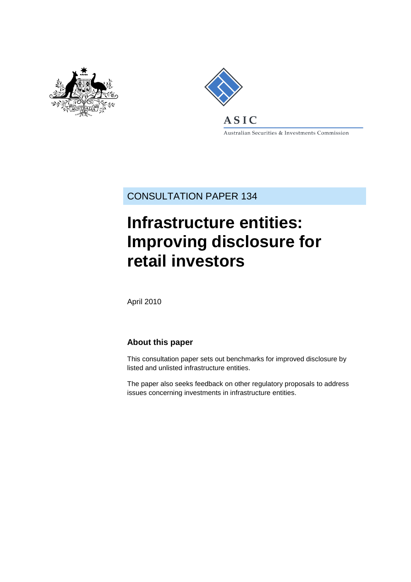



Australian Securities & Investments Commission

CONSULTATION PAPER 134

# **Infrastructure entities: Improving disclosure for retail investors**

April 2010

## **About this paper**

This consultation paper sets out benchmarks for improved disclosure by listed and unlisted infrastructure entities.

The paper also seeks feedback on other regulatory proposals to address issues concerning investments in infrastructure entities.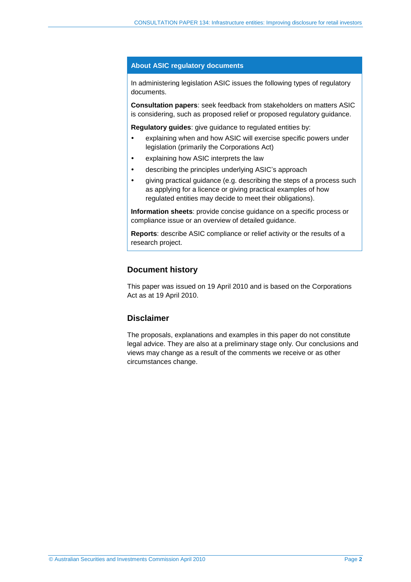#### **About ASIC regulatory documents**

In administering legislation ASIC issues the following types of regulatory documents.

**Consultation papers**: seek feedback from stakeholders on matters ASIC is considering, such as proposed relief or proposed regulatory guidance.

**Regulatory guides**: give guidance to regulated entities by:

- explaining when and how ASIC will exercise specific powers under legislation (primarily the Corporations Act)
- explaining how ASIC interprets the law
- describing the principles underlying ASIC's approach
- giving practical guidance (e.g. describing the steps of a process such as applying for a licence or giving practical examples of how regulated entities may decide to meet their obligations).

**Information sheets**: provide concise guidance on a specific process or compliance issue or an overview of detailed guidance.

**Reports**: describe ASIC compliance or relief activity or the results of a research project.

### **Document history**

This paper was issued on 19 April 2010 and is based on the Corporations Act as at 19 April 2010.

## **Disclaimer**

The proposals, explanations and examples in this paper do not constitute legal advice. They are also at a preliminary stage only. Our conclusions and views may change as a result of the comments we receive or as other circumstances change.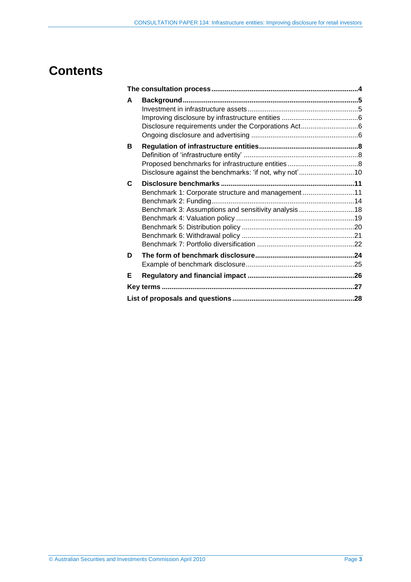## **Contents**

| A                                                      |  |
|--------------------------------------------------------|--|
|                                                        |  |
|                                                        |  |
|                                                        |  |
|                                                        |  |
| в                                                      |  |
|                                                        |  |
|                                                        |  |
| Disclosure against the benchmarks: 'if not, why not'10 |  |
| C                                                      |  |
| Benchmark 1: Corporate structure and management 11     |  |
|                                                        |  |
| Benchmark 3: Assumptions and sensitivity analysis 18   |  |
|                                                        |  |
|                                                        |  |
|                                                        |  |
|                                                        |  |
| D                                                      |  |
|                                                        |  |
| Е                                                      |  |
|                                                        |  |
|                                                        |  |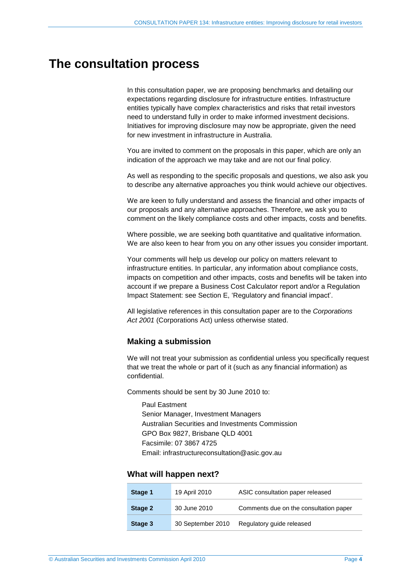## <span id="page-3-1"></span><span id="page-3-0"></span>**The consultation process**

In this consultation paper, we are proposing benchmarks and detailing our expectations regarding disclosure for infrastructure entities. Infrastructure entities typically have complex characteristics and risks that retail investors need to understand fully in order to make informed investment decisions. Initiatives for improving disclosure may now be appropriate, given the need for new investment in infrastructure in Australia.

You are invited to comment on the proposals in this paper, which are only an indication of the approach we may take and are not our final policy.

As well as responding to the specific proposals and questions, we also ask you to describe any alternative approaches you think would achieve our objectives.

We are keen to fully understand and assess the financial and other impacts of our proposals and any alternative approaches. Therefore, we ask you to comment on the likely compliance costs and other impacts, costs and benefits.

Where possible, we are seeking both quantitative and qualitative information. We are also keen to hear from you on any other issues you consider important.

Your comments will help us develop our policy on matters relevant to infrastructure entities. In particular, any information about compliance costs, impacts on competition and other impacts, costs and benefits will be taken into account if we prepare a Business Cost Calculator report and/or a Regulation Impact Statement: see Section [E,](#page-25-0) 'Regulatory and financial impact'.

All legislative references in this consultation paper are to the *Corporations Act 2001* (Corporations Act) unless otherwise stated.

## **Making a submission**

We will not treat your submission as confidential unless you specifically request that we treat the whole or part of it (such as any financial information) as confidential.

Comments should be sent by 30 June 2010 to:

Paul Eastment Senior Manager, Investment Managers Australian Securities and Investments Commission GPO Box 9827, Brisbane QLD 4001 Facsimile: 07 3867 4725 Email: infrastructureconsultation@asic.gov.au

#### **What will happen next?**

| Stage 1 | 19 April 2010     | ASIC consultation paper released       |
|---------|-------------------|----------------------------------------|
| Stage 2 | 30 June 2010      | Comments due on the consultation paper |
| Stage 3 | 30 September 2010 | Regulatory guide released              |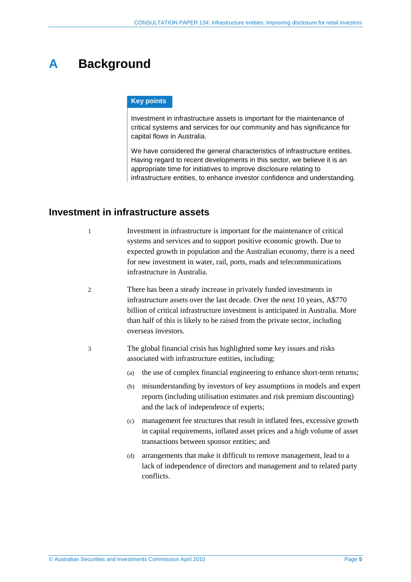# <span id="page-4-0"></span>**A Background**

### **Key points**

Investment in infrastructure assets is important for the maintenance of critical systems and services for our community and has significance for capital flows in Australia.

We have considered the general characteristics of infrastructure entities. Having regard to recent developments in this sector, we believe it is an appropriate time for initiatives to improve disclosure relating to infrastructure entities, to enhance investor confidence and understanding.

## <span id="page-4-1"></span>**Investment in infrastructure assets**

1 Investment in infrastructure is important for the maintenance of critical systems and services and to support positive economic growth. Due to expected growth in population and the Australian economy, there is a need for new investment in water, rail, ports, roads and telecommunications infrastructure in Australia.

- 2 There has been a steady increase in privately funded investments in infrastructure assets over the last decade. Over the next 10 years, A\$770 billion of critical infrastructure investment is anticipated in Australia. More than half of this is likely to be raised from the private sector, including overseas investors.
- 3 The global financial crisis has highlighted some key issues and risks associated with infrastructure entities, including:
	- (a) the use of complex financial engineering to enhance short-term returns;
	- (b) misunderstanding by investors of key assumptions in models and expert reports (including utilisation estimates and risk premium discounting) and the lack of independence of experts;
	- (c) management fee structures that result in inflated fees, excessive growth in capital requirements, inflated asset prices and a high volume of asset transactions between sponsor entities; and
	- (d) arrangements that make it difficult to remove management, lead to a lack of independence of directors and management and to related party conflicts.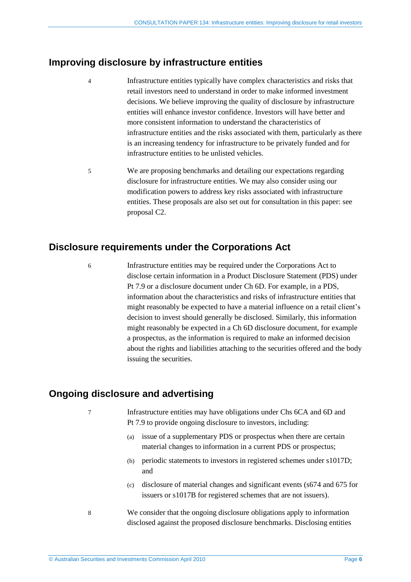## <span id="page-5-0"></span>**Improving disclosure by infrastructure entities**

- 4 Infrastructure entities typically have complex characteristics and risks that retail investors need to understand in order to make informed investment decisions. We believe improving the quality of disclosure by infrastructure entities will enhance investor confidence. Investors will have better and more consistent information to understand the characteristics of infrastructure entities and the risks associated with them, particularly as there is an increasing tendency for infrastructure to be privately funded and for infrastructure entities to be unlisted vehicles.
- 5 We are proposing benchmarks and detailing our expectations regarding disclosure for infrastructure entities. We may also consider using our modification powers to address key risks associated with infrastructure entities. These proposals are also set out for consultation in this paper: see proposal [C2.](#page-10-2)

## <span id="page-5-1"></span>**Disclosure requirements under the Corporations Act**

6 Infrastructure entities may be required under the Corporations Act to disclose certain information in a Product Disclosure Statement (PDS) under Pt 7.9 or a disclosure document under Ch 6D. For example, in a PDS, information about the characteristics and risks of infrastructure entities that might reasonably be expected to have a material influence on a retail client's decision to invest should generally be disclosed. Similarly, this information might reasonably be expected in a Ch 6D disclosure document, for example a prospectus, as the information is required to make an informed decision about the rights and liabilities attaching to the securities offered and the body issuing the securities.

## <span id="page-5-2"></span>**Ongoing disclosure and advertising**

7 Infrastructure entities may have obligations under Chs 6CA and 6D and Pt 7.9 to provide ongoing disclosure to investors, including:

- (a) issue of a supplementary PDS or prospectus when there are certain material changes to information in a current PDS or prospectus;
- (b) periodic statements to investors in registered schemes under s1017D; and
- (c) disclosure of material changes and significant events (s674 and 675 for issuers or s1017B for registered schemes that are not issuers).
- 8 We consider that the ongoing disclosure obligations apply to information disclosed against the proposed disclosure benchmarks. Disclosing entities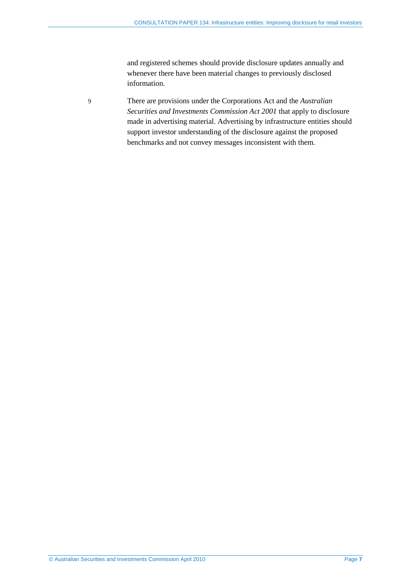and registered schemes should provide disclosure updates annually and whenever there have been material changes to previously disclosed information.

9 There are provisions under the Corporations Act and the *Australian Securities and Investments Commission Act 2001* that apply to disclosure made in advertising material. Advertising by infrastructure entities should support investor understanding of the disclosure against the proposed benchmarks and not convey messages inconsistent with them.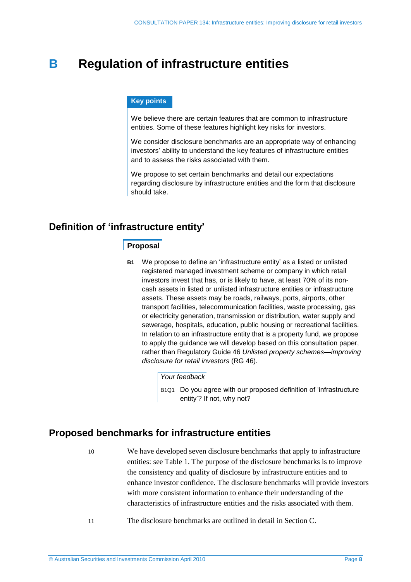## <span id="page-7-0"></span>**B Regulation of infrastructure entities**

### **Key points**

We believe there are certain features that are common to infrastructure entities. Some of these features highlight key risks for investors.

We consider disclosure benchmarks are an appropriate way of enhancing investors' ability to understand the key features of infrastructure entities and to assess the risks associated with them.

We propose to set certain benchmarks and detail our expectations regarding disclosure by infrastructure entities and the form that disclosure should take.

## <span id="page-7-1"></span>**Definition of 'infrastructure entity'**

### **Proposal**

**B1** We propose to define an 'infrastructure entity' as a listed or unlisted registered managed investment scheme or company in which retail investors invest that has, or is likely to have, at least 70% of its noncash assets in listed or unlisted infrastructure entities or infrastructure assets. These assets may be roads, railways, ports, airports, other transport facilities, telecommunication facilities, waste processing, gas or electricity generation, transmission or distribution, water supply and sewerage, hospitals, education, public housing or recreational facilities. In relation to an infrastructure entity that is a property fund, we propose to apply the guidance we will develop based on this consultation paper, rather than Regulatory Guide 46 *Unlisted property schemes—improving disclosure for retail investors* (RG 46).

### *Your feedback*

B1Q1 Do you agree with our proposed definition of 'infrastructure entity'? If not, why not?

## <span id="page-7-2"></span>**Proposed benchmarks for infrastructure entities**

10 We have developed seven disclosure benchmarks that apply to infrastructure entities: se[e Table 1.](#page-8-0) The purpose of the disclosure benchmarks is to improve the consistency and quality of disclosure by infrastructure entities and to enhance investor confidence. The disclosure benchmarks will provide investors with more consistent information to enhance their understanding of the characteristics of infrastructure entities and the risks associated with them.

11 The disclosure benchmarks are outlined in detail in Section [C.](#page-10-0)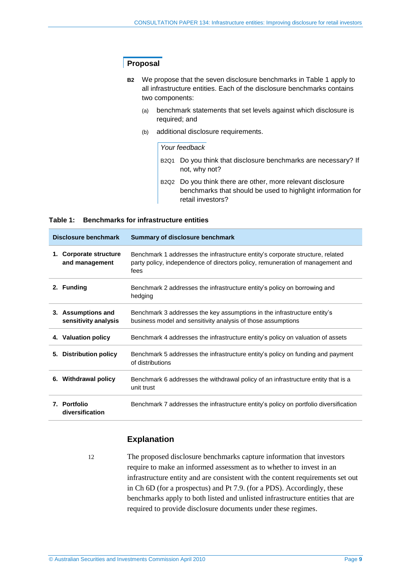## **Proposal**

- **B2** We propose that the seven disclosure benchmarks in [Table 1](#page-8-0) apply to all infrastructure entities. Each of the disclosure benchmarks contains two components:
	- (a) benchmark statements that set levels against which disclosure is required; and
	- (b) additional disclosure requirements.

#### *Your feedback*

- B2Q1 Do you think that disclosure benchmarks are necessary? If not, why not?
- B2Q2 Do you think there are other, more relevant disclosure benchmarks that should be used to highlight information for retail investors?

#### <span id="page-8-0"></span>**Table 1: Benchmarks for infrastructure entities**

| Disclosure benchmark                                    | <b>Summary of disclosure benchmark</b>                                                                                                                                   |  |  |
|---------------------------------------------------------|--------------------------------------------------------------------------------------------------------------------------------------------------------------------------|--|--|
| Corporate structure<br>1.<br>and management             | Benchmark 1 addresses the infrastructure entity's corporate structure, related<br>party policy, independence of directors policy, remuneration of management and<br>fees |  |  |
| 2. Funding                                              | Benchmark 2 addresses the infrastructure entity's policy on borrowing and<br>hedging                                                                                     |  |  |
| <b>Assumptions and</b><br>3.<br>sensitivity analysis    | Benchmark 3 addresses the key assumptions in the infrastructure entity's<br>business model and sensitivity analysis of those assumptions                                 |  |  |
| 4. Valuation policy                                     | Benchmark 4 addresses the infrastructure entity's policy on valuation of assets                                                                                          |  |  |
| <b>Distribution policy</b><br>5.                        | Benchmark 5 addresses the infrastructure entity's policy on funding and payment<br>of distributions                                                                      |  |  |
| <b>Withdrawal policy</b><br>6.                          | Benchmark 6 addresses the withdrawal policy of an infrastructure entity that is a<br>unit trust                                                                          |  |  |
| <b>Portfolio</b><br>$\mathbf{7}_{-}$<br>diversification | Benchmark 7 addresses the infrastructure entity's policy on portfolio diversification                                                                                    |  |  |

## **Explanation**

12 The proposed disclosure benchmarks capture information that investors require to make an informed assessment as to whether to invest in an infrastructure entity and are consistent with the content requirements set out in Ch 6D (for a prospectus) and Pt 7.9. (for a PDS). Accordingly, these benchmarks apply to both listed and unlisted infrastructure entities that are required to provide disclosure documents under these regimes.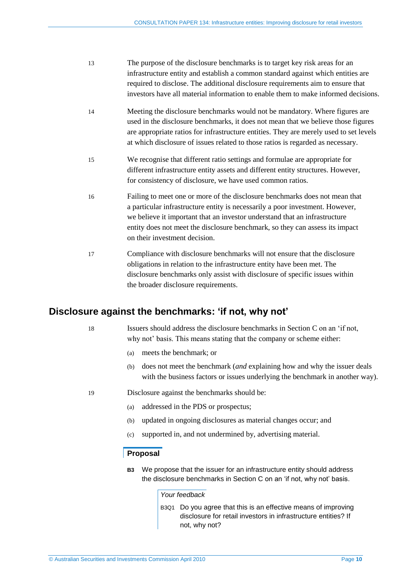- 13 The purpose of the disclosure benchmarks is to target key risk areas for an infrastructure entity and establish a common standard against which entities are required to disclose. The additional disclosure requirements aim to ensure that investors have all material information to enable them to make informed decisions.
- 14 Meeting the disclosure benchmarks would not be mandatory. Where figures are used in the disclosure benchmarks, it does not mean that we believe those figures are appropriate ratios for infrastructure entities. They are merely used to set levels at which disclosure of issues related to those ratios is regarded as necessary.
- 15 We recognise that different ratio settings and formulae are appropriate for different infrastructure entity assets and different entity structures. However, for consistency of disclosure, we have used common ratios.
- 16 Failing to meet one or more of the disclosure benchmarks does not mean that a particular infrastructure entity is necessarily a poor investment. However, we believe it important that an investor understand that an infrastructure entity does not meet the disclosure benchmark, so they can assess its impact on their investment decision.
- 17 Compliance with disclosure benchmarks will not ensure that the disclosure obligations in relation to the infrastructure entity have been met. The disclosure benchmarks only assist with disclosure of specific issues within the broader disclosure requirements.

## <span id="page-9-0"></span>**Disclosure against the benchmarks: 'if not, why not'**

18 Issuers should address the disclosure benchmarks in Section [C](#page-10-0) on an 'if not, why not' basis. This means stating that the company or scheme either:

- (a) meets the benchmark; or
- (b) does not meet the benchmark (*and* explaining how and why the issuer deals with the business factors or issues underlying the benchmark in another way).

19 Disclosure against the benchmarks should be:

- (a) addressed in the PDS or prospectus;
- (b) updated in ongoing disclosures as material changes occur; and
- (c) supported in, and not undermined by, advertising material.

#### **Proposal**

**B3** We propose that the issuer for an infrastructure entity should address the disclosure benchmarks in Section [C](#page-10-0) on an 'if not, why not' basis.

#### *Your feedback*

B3Q1 Do you agree that this is an effective means of improving disclosure for retail investors in infrastructure entities? If not, why not?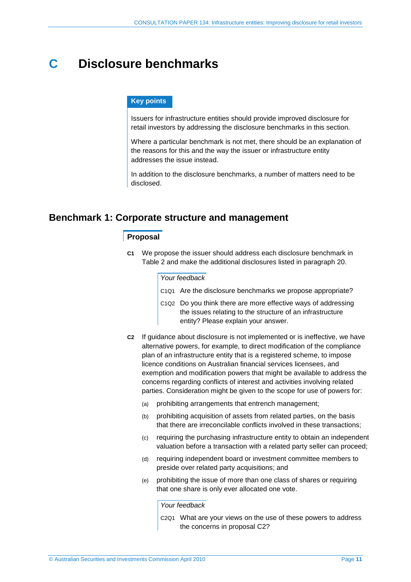## <span id="page-10-0"></span>**C Disclosure benchmarks**

#### **Key points**

Issuers for infrastructure entities should provide improved disclosure for retail investors by addressing the disclosure benchmarks in this section.

Where a particular benchmark is not met, there should be an explanation of the reasons for this and the way the issuer or infrastructure entity addresses the issue instead.

In addition to the disclosure benchmarks, a number of matters need to be disclosed.

## <span id="page-10-1"></span>**Benchmark 1: Corporate structure and management**

### **Proposal**

**C1** We propose the issuer should address each disclosure benchmark in [Table 2](#page-11-0) and make the additional disclosures listed in paragraph [20.](#page-11-1)

#### *Your feedback*

- C1Q1 Are the disclosure benchmarks we propose appropriate?
- C1Q2 Do you think there are more effective ways of addressing the issues relating to the structure of an infrastructure entity? Please explain your answer.
- <span id="page-10-2"></span>**C2** If guidance about disclosure is not implemented or is ineffective, we have alternative powers, for example, to direct modification of the compliance plan of an infrastructure entity that is a registered scheme, to impose licence conditions on Australian financial services licensees, and exemption and modification powers that might be available to address the concerns regarding conflicts of interest and activities involving related parties. Consideration might be given to the scope for use of powers for:
	- (a) prohibiting arrangements that entrench management;
	- (b) prohibiting acquisition of assets from related parties, on the basis that there are irreconcilable conflicts involved in these transactions;
	- (c) requiring the purchasing infrastructure entity to obtain an independent valuation before a transaction with a related party seller can proceed;
	- (d) requiring independent board or investment committee members to preside over related party acquisitions; and
	- (e) prohibiting the issue of more than one class of shares or requiring that one share is only ever allocated one vote.

*Your feedback*

C2Q1 What are your views on the use of these powers to address the concerns in proposal [C2?](#page-10-2)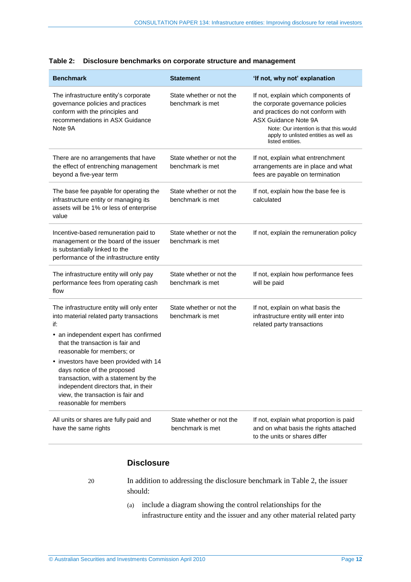| <b>Benchmark</b>                                                                                                                                                                                                                                                                                                                                                                                                                | <b>Statement</b>                             | 'If not, why not' explanation                                                                                                                                                                                                                       |
|---------------------------------------------------------------------------------------------------------------------------------------------------------------------------------------------------------------------------------------------------------------------------------------------------------------------------------------------------------------------------------------------------------------------------------|----------------------------------------------|-----------------------------------------------------------------------------------------------------------------------------------------------------------------------------------------------------------------------------------------------------|
| The infrastructure entity's corporate<br>governance policies and practices<br>conform with the principles and<br>recommendations in ASX Guidance<br>Note 9A                                                                                                                                                                                                                                                                     | State whether or not the<br>benchmark is met | If not, explain which components of<br>the corporate governance policies<br>and practices do not conform with<br><b>ASX Guidance Note 9A</b><br>Note: Our intention is that this would<br>apply to unlisted entities as well as<br>listed entities. |
| There are no arrangements that have<br>the effect of entrenching management<br>beyond a five-year term                                                                                                                                                                                                                                                                                                                          | State whether or not the<br>benchmark is met | If not, explain what entrenchment<br>arrangements are in place and what<br>fees are payable on termination                                                                                                                                          |
| The base fee payable for operating the<br>infrastructure entity or managing its<br>assets will be 1% or less of enterprise<br>value                                                                                                                                                                                                                                                                                             | State whether or not the<br>benchmark is met | If not, explain how the base fee is<br>calculated                                                                                                                                                                                                   |
| Incentive-based remuneration paid to<br>management or the board of the issuer<br>is substantially linked to the<br>performance of the infrastructure entity                                                                                                                                                                                                                                                                     | State whether or not the<br>benchmark is met | If not, explain the remuneration policy                                                                                                                                                                                                             |
| The infrastructure entity will only pay<br>performance fees from operating cash<br>flow                                                                                                                                                                                                                                                                                                                                         | State whether or not the<br>benchmark is met | If not, explain how performance fees<br>will be paid                                                                                                                                                                                                |
| The infrastructure entity will only enter<br>into material related party transactions<br>if:<br>• an independent expert has confirmed<br>that the transaction is fair and<br>reasonable for members; or<br>• investors have been provided with 14<br>days notice of the proposed<br>transaction, with a statement by the<br>independent directors that, in their<br>view, the transaction is fair and<br>reasonable for members | State whether or not the<br>benchmark is met | If not, explain on what basis the<br>infrastructure entity will enter into<br>related party transactions                                                                                                                                            |
| All units or shares are fully paid and<br>have the same rights                                                                                                                                                                                                                                                                                                                                                                  | State whether or not the<br>benchmark is met | If not, explain what proportion is paid<br>and on what basis the rights attached<br>to the units or shares differ                                                                                                                                   |

<span id="page-11-0"></span>

|  | Table 2: Disclosure benchmarks on corporate structure and management |  |  |
|--|----------------------------------------------------------------------|--|--|
|--|----------------------------------------------------------------------|--|--|

## **Disclosure**

<span id="page-11-1"></span>

- 20 In addition to addressing the disclosure benchmark in [Table 2,](#page-11-0) the issuer should:
	- (a) include a diagram showing the control relationships for the infrastructure entity and the issuer and any other material related party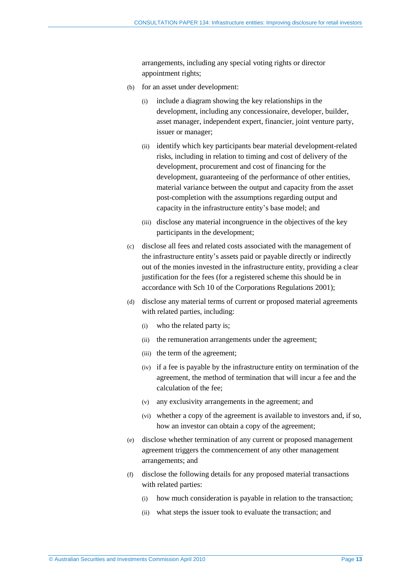arrangements, including any special voting rights or director appointment rights;

- (b) for an asset under development:
	- include a diagram showing the key relationships in the development, including any concessionaire, developer, builder, asset manager, independent expert, financier, joint venture party, issuer or manager;
	- (ii) identify which key participants bear material development-related risks, including in relation to timing and cost of delivery of the development, procurement and cost of financing for the development, guaranteeing of the performance of other entities, material variance between the output and capacity from the asset post-completion with the assumptions regarding output and capacity in the infrastructure entity's base model; and
	- (iii) disclose any material incongruence in the objectives of the key participants in the development;
- (c) disclose all fees and related costs associated with the management of the infrastructure entity's assets paid or payable directly or indirectly out of the monies invested in the infrastructure entity, providing a clear justification for the fees (for a registered scheme this should be in accordance with Sch 10 of the Corporations Regulations 2001);
- (d) disclose any material terms of current or proposed material agreements with related parties, including:
	- (i) who the related party is;
	- (ii) the remuneration arrangements under the agreement;
	- (iii) the term of the agreement;
	- (iv) if a fee is payable by the infrastructure entity on termination of the agreement, the method of termination that will incur a fee and the calculation of the fee;
	- (v) any exclusivity arrangements in the agreement; and
	- (vi) whether a copy of the agreement is available to investors and, if so, how an investor can obtain a copy of the agreement;
- (e) disclose whether termination of any current or proposed management agreement triggers the commencement of any other management arrangements; and
- (f) disclose the following details for any proposed material transactions with related parties:
	- (i) how much consideration is payable in relation to the transaction;
	- (ii) what steps the issuer took to evaluate the transaction; and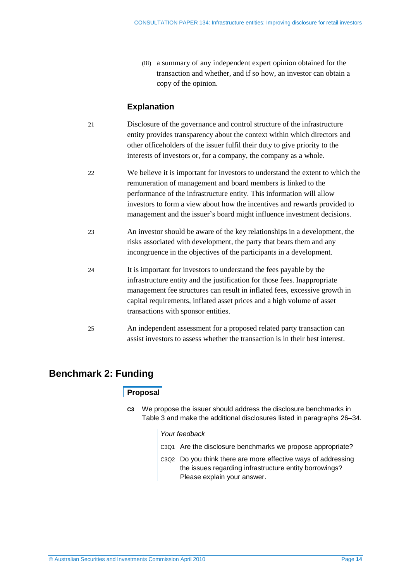(iii) a summary of any independent expert opinion obtained for the transaction and whether, and if so how, an investor can obtain a copy of the opinion.

## **Explanation**

- 21 Disclosure of the governance and control structure of the infrastructure entity provides transparency about the context within which directors and other officeholders of the issuer fulfil their duty to give priority to the interests of investors or, for a company, the company as a whole.
- 22 We believe it is important for investors to understand the extent to which the remuneration of management and board members is linked to the performance of the infrastructure entity. This information will allow investors to form a view about how the incentives and rewards provided to management and the issuer's board might influence investment decisions.
- 23 An investor should be aware of the key relationships in a development, the risks associated with development, the party that bears them and any incongruence in the objectives of the participants in a development.
- 24 It is important for investors to understand the fees payable by the infrastructure entity and the justification for those fees. Inappropriate management fee structures can result in inflated fees, excessive growth in capital requirements, inflated asset prices and a high volume of asset transactions with sponsor entities.
- 25 An independent assessment for a proposed related party transaction can assist investors to assess whether the transaction is in their best interest.

## <span id="page-13-0"></span>**Benchmark 2: Funding**

## **Proposal**

**C3** We propose the issuer should address the disclosure benchmarks in [Table 3](#page-14-0) and make the additional disclosures listed in paragraphs [26–](#page-14-1)[34.](#page-16-0)

#### *Your feedback*

- C3Q1 Are the disclosure benchmarks we propose appropriate?
- C3Q2 Do you think there are more effective ways of addressing the issues regarding infrastructure entity borrowings? Please explain your answer.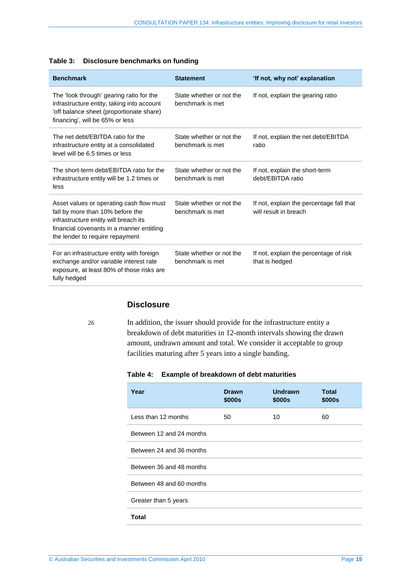<span id="page-14-0"></span>

| <b>Benchmark</b>                                                                                                                                                                                      | <b>Statement</b>                             | 'If not, why not' explanation                                     |
|-------------------------------------------------------------------------------------------------------------------------------------------------------------------------------------------------------|----------------------------------------------|-------------------------------------------------------------------|
| The 'look through' gearing ratio for the<br>infrastructure entity, taking into account<br>'off balance sheet (proportionate share)<br>financing', will be 65% or less                                 | State whether or not the<br>benchmark is met | If not, explain the gearing ratio                                 |
| The net debt/EBITDA ratio for the<br>infrastructure entity at a consolidated<br>level will be 6.5 times or less                                                                                       | State whether or not the<br>benchmark is met | If not, explain the net debt/EBITDA<br>ratio                      |
| The short-term debt/EBITDA ratio for the<br>infrastructure entity will be 1.2 times or<br>less                                                                                                        | State whether or not the<br>benchmark is met | If not, explain the short-term<br>debt/EBITDA ratio               |
| Asset values or operating cash flow must<br>fall by more than 10% before the<br>infrastructure entity will breach its<br>financial covenants in a manner entitling<br>the lender to require repayment | State whether or not the<br>benchmark is met | If not, explain the percentage fall that<br>will result in breach |
| For an infrastructure entity with foreign<br>exchange and/or variable interest rate<br>exposure, at least 80% of those risks are<br>fully hedged                                                      | State whether or not the<br>benchmark is met | If not, explain the percentage of risk<br>that is hedged          |

### **Disclosure**

<span id="page-14-1"></span>

26 In addition, the issuer should provide for the infrastructure entity a breakdown of debt maturities in 12-month intervals showing the drawn amount, undrawn amount and total. We consider it acceptable to group facilities maturing after 5 years into a single banding.

### **Table 4: Example of breakdown of debt maturities**

| <b>Drawn</b><br>\$000s | <b>Undrawn</b><br>\$000s | <b>Total</b><br>\$000s |
|------------------------|--------------------------|------------------------|
| 50                     | 10                       | 60                     |
|                        |                          |                        |
|                        |                          |                        |
|                        |                          |                        |
|                        |                          |                        |
|                        |                          |                        |
|                        |                          |                        |
|                        |                          |                        |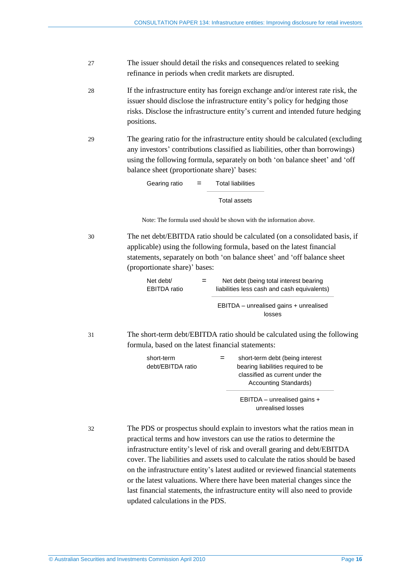- 27 The issuer should detail the risks and consequences related to seeking refinance in periods when credit markets are disrupted.
- 28 If the infrastructure entity has foreign exchange and/or interest rate risk, the issuer should disclose the infrastructure entity's policy for hedging those risks. Disclose the infrastructure entity's current and intended future hedging positions.
- 29 The gearing ratio for the infrastructure entity should be calculated (excluding any investors' contributions classified as liabilities, other than borrowings) using the following formula, separately on both 'on balance sheet' and 'off balance sheet (proportionate share)' bases:

| Gearing ratio | = | <b>Total liabilities</b> |
|---------------|---|--------------------------|
|               |   | Total assets             |

Note: The formula used should be shown with the information above.

30 The net debt/EBITDA ratio should be calculated (on a consolidated basis, if applicable) using the following formula, based on the latest financial statements, separately on both 'on balance sheet' and 'off balance sheet (proportionate share)' bases:

| Net debt/<br><b>EBITDA</b> ratio | $=$ | Net debt (being total interest bearing<br>liabilities less cash and cash equivalents) |
|----------------------------------|-----|---------------------------------------------------------------------------------------|
|                                  |     | EBITDA – unrealised gains + unrealised                                                |

losses

31 The short-term debt/EBITDA ratio should be calculated using the following formula, based on the latest financial statements:

| short-term        | short-term debt (being interest                                                                |
|-------------------|------------------------------------------------------------------------------------------------|
| debt/EBITDA ratio | bearing liabilities required to be<br>classified as current under the<br>Accounting Standards) |
|                   | EBITDA - unrealised gains +<br>unrealised losses                                               |

32 The PDS or prospectus should explain to investors what the ratios mean in practical terms and how investors can use the ratios to determine the infrastructure entity's level of risk and overall gearing and debt/EBITDA cover. The liabilities and assets used to calculate the ratios should be based on the infrastructure entity's latest audited or reviewed financial statements or the latest valuations. Where there have been material changes since the last financial statements, the infrastructure entity will also need to provide updated calculations in the PDS.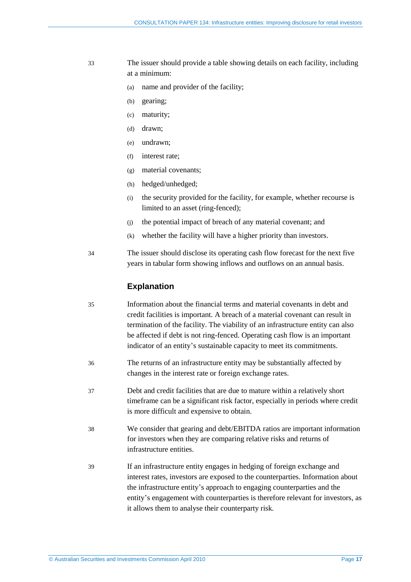- 33 The issuer should provide a table showing details on each facility, including at a minimum:
	- (a) name and provider of the facility;
	- (b) gearing;
	- (c) maturity;
	- (d) drawn;
	- (e) undrawn;
	- (f) interest rate;
	- (g) material covenants;
	- (h) hedged/unhedged;
	- (i) the security provided for the facility, for example, whether recourse is limited to an asset (ring-fenced);
	- (j) the potential impact of breach of any material covenant; and
	- (k) whether the facility will have a higher priority than investors.
- <span id="page-16-0"></span>34 The issuer should disclose its operating cash flow forecast for the next five years in tabular form showing inflows and outflows on an annual basis.

### **Explanation**

- 35 Information about the financial terms and material covenants in debt and credit facilities is important. A breach of a material covenant can result in termination of the facility. The viability of an infrastructure entity can also be affected if debt is not ring-fenced. Operating cash flow is an important indicator of an entity's sustainable capacity to meet its commitments.
- 36 The returns of an infrastructure entity may be substantially affected by changes in the interest rate or foreign exchange rates.
- 37 Debt and credit facilities that are due to mature within a relatively short timeframe can be a significant risk factor, especially in periods where credit is more difficult and expensive to obtain.
- 38 We consider that gearing and debt/EBITDA ratios are important information for investors when they are comparing relative risks and returns of infrastructure entities.
- 39 If an infrastructure entity engages in hedging of foreign exchange and interest rates, investors are exposed to the counterparties. Information about the infrastructure entity's approach to engaging counterparties and the entity's engagement with counterparties is therefore relevant for investors, as it allows them to analyse their counterparty risk.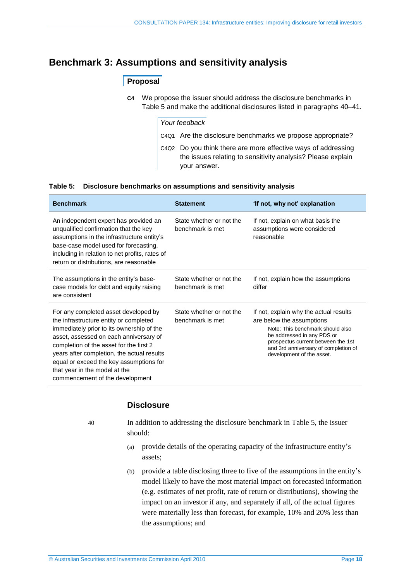## <span id="page-17-0"></span>**Benchmark 3: Assumptions and sensitivity analysis**

## **Proposal**

**C4** We propose the issuer should address the disclosure benchmarks in [Table 5](#page-17-1) and make the additional disclosures listed in paragraphs [40–](#page-17-2)[41.](#page-18-1)

|  | Your feedback |
|--|---------------|
|--|---------------|

- C4Q1 Are the disclosure benchmarks we propose appropriate?
- C4Q2 Do you think there are more effective ways of addressing the issues relating to sensitivity analysis? Please explain your answer.

#### <span id="page-17-1"></span>**Table 5: Disclosure benchmarks on assumptions and sensitivity analysis**

| <b>Benchmark</b>                                                                                                                                                                                                                                                                                                                                                              | <b>Statement</b>                             | 'If not, why not' explanation                                                                                                                                                                                                                    |
|-------------------------------------------------------------------------------------------------------------------------------------------------------------------------------------------------------------------------------------------------------------------------------------------------------------------------------------------------------------------------------|----------------------------------------------|--------------------------------------------------------------------------------------------------------------------------------------------------------------------------------------------------------------------------------------------------|
| An independent expert has provided an<br>unqualified confirmation that the key<br>assumptions in the infrastructure entity's<br>base-case model used for forecasting,<br>including in relation to net profits, rates of<br>return or distributions, are reasonable                                                                                                            | State whether or not the<br>benchmark is met | If not, explain on what basis the<br>assumptions were considered<br>reasonable                                                                                                                                                                   |
| The assumptions in the entity's base-<br>case models for debt and equity raising<br>are consistent                                                                                                                                                                                                                                                                            | State whether or not the<br>benchmark is met | If not, explain how the assumptions<br>differ                                                                                                                                                                                                    |
| For any completed asset developed by<br>the infrastructure entity or completed<br>immediately prior to its ownership of the<br>asset, assessed on each anniversary of<br>completion of the asset for the first 2<br>years after completion, the actual results<br>equal or exceed the key assumptions for<br>that year in the model at the<br>commencement of the development | State whether or not the<br>benchmark is met | If not, explain why the actual results<br>are below the assumptions<br>Note: This benchmark should also<br>be addressed in any PDS or<br>prospectus current between the 1st<br>and 3rd anniversary of completion of<br>development of the asset. |

### **Disclosure**

<span id="page-17-2"></span>

- 40 In addition to addressing the disclosure benchmark in [Table 5,](#page-17-1) the issuer should:
	- (a) provide details of the operating capacity of the infrastructure entity's assets;
	- (b) provide a table disclosing three to five of the assumptions in the entity's model likely to have the most material impact on forecasted information (e.g. estimates of net profit, rate of return or distributions), showing the impact on an investor if any, and separately if all, of the actual figures were materially less than forecast, for example, 10% and 20% less than the assumptions; and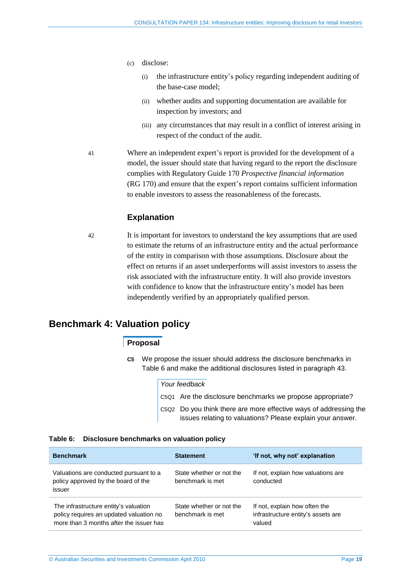- (c) disclose:
	- (i) the infrastructure entity's policy regarding independent auditing of the base-case model;
	- (ii) whether audits and supporting documentation are available for inspection by investors; and
	- (iii) any circumstances that may result in a conflict of interest arising in respect of the conduct of the audit.
- <span id="page-18-1"></span>41 Where an independent expert's report is provided for the development of a model, the issuer should state that having regard to the report the disclosure complies with Regulatory Guide 170 *Prospective financial information*  (RG 170) and ensure that the expert's report contains sufficient information to enable investors to assess the reasonableness of the forecasts.

## **Explanation**

42 It is important for investors to understand the key assumptions that are used to estimate the returns of an infrastructure entity and the actual performance of the entity in comparison with those assumptions. Disclosure about the effect on returns if an asset underperforms will assist investors to assess the risk associated with the infrastructure entity. It will also provide investors with confidence to know that the infrastructure entity's model has been independently verified by an appropriately qualified person.

## <span id="page-18-0"></span>**Benchmark 4: Valuation policy**

## **Proposal**

**C5** We propose the issuer should address the disclosure benchmarks in [Table 6](#page-18-2) and make the additional disclosures listed in paragraph [43.](#page-19-1)

|  | Your feedback                                                                                                                   |
|--|---------------------------------------------------------------------------------------------------------------------------------|
|  | C5Q1 Are the disclosure benchmarks we propose appropriate?                                                                      |
|  | C5Q2 Do you think there are more effective ways of addressing the<br>issues relating to valuations? Please explain your answer. |

#### <span id="page-18-2"></span>**Table 6: Disclosure benchmarks on valuation policy**

| <b>Benchmark</b>                                                                                                            | <b>Statement</b>                             | 'If not, why not' explanation                                                 |
|-----------------------------------------------------------------------------------------------------------------------------|----------------------------------------------|-------------------------------------------------------------------------------|
| Valuations are conducted pursuant to a<br>policy approved by the board of the<br>issuer                                     | State whether or not the<br>benchmark is met | If not, explain how valuations are<br>conducted                               |
| The infrastructure entity's valuation<br>policy requires an updated valuation no<br>more than 3 months after the issuer has | State whether or not the<br>benchmark is met | If not, explain how often the<br>infrastructure entity's assets are<br>valued |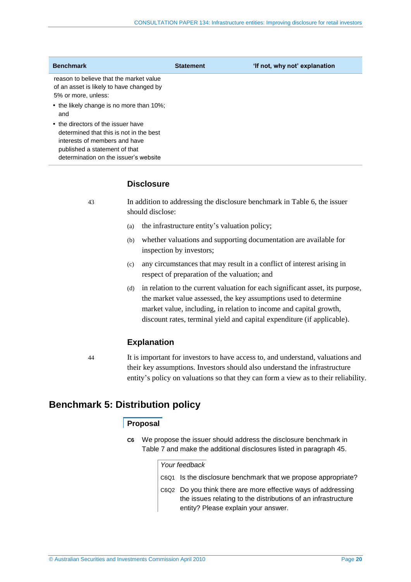| <b>Benchmark</b>                                                                                                                                                                         | <b>Statement</b> | 'If not, why not' explanation |
|------------------------------------------------------------------------------------------------------------------------------------------------------------------------------------------|------------------|-------------------------------|
| reason to believe that the market value<br>of an asset is likely to have changed by<br>5% or more, unless:                                                                               |                  |                               |
| • the likely change is no more than 10%;<br>and                                                                                                                                          |                  |                               |
| • the directors of the issuer have<br>determined that this is not in the best<br>interests of members and have<br>published a statement of that<br>determination on the issuer's website |                  |                               |

#### **Disclosure**

<span id="page-19-1"></span>43 In addition to addressing the disclosure benchmark in [Table 6,](#page-18-2) the issuer should disclose:

- (a) the infrastructure entity's valuation policy;
- (b) whether valuations and supporting documentation are available for inspection by investors;
- (c) any circumstances that may result in a conflict of interest arising in respect of preparation of the valuation; and
- (d) in relation to the current valuation for each significant asset, its purpose, the market value assessed, the key assumptions used to determine market value, including, in relation to income and capital growth, discount rates, terminal yield and capital expenditure (if applicable).

## **Explanation**

44 It is important for investors to have access to, and understand, valuations and their key assumptions. Investors should also understand the infrastructure entity's policy on valuations so that they can form a view as to their reliability.

## <span id="page-19-0"></span>**Benchmark 5: Distribution policy**

## **Proposal**

**C6** We propose the issuer should address the disclosure benchmark in [Table 7](#page-20-1) and make the additional disclosures listed in paragraph [45.](#page-20-2)

### *Your feedback*

| C6Q1 Is the disclosure benchmark that we propose appropriate?                                                                                                         |
|-----------------------------------------------------------------------------------------------------------------------------------------------------------------------|
| C6Q2 Do you think there are more effective ways of addressing<br>the issues relating to the distributions of an infrastructure<br>entity? Please explain your answer. |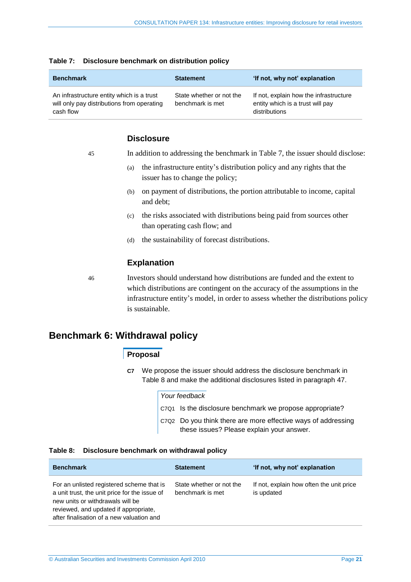| <b>Benchmark</b>                                                                                     | <b>Statement</b>                             | 'If not, why not' explanation                                                               |
|------------------------------------------------------------------------------------------------------|----------------------------------------------|---------------------------------------------------------------------------------------------|
| An infrastructure entity which is a trust<br>will only pay distributions from operating<br>cash flow | State whether or not the<br>benchmark is met | If not, explain how the infrastructure<br>entity which is a trust will pay<br>distributions |

#### <span id="page-20-1"></span>**Table 7: Disclosure benchmark on distribution policy**

## **Disclosure**

<span id="page-20-2"></span>

| 45 |     | In addition to addressing the benchmark in Table 7, the issuer should disclose:                             |
|----|-----|-------------------------------------------------------------------------------------------------------------|
|    | (a) | the infrastructure entity's distribution policy and any rights that the<br>issuer has to change the policy; |
|    | (b) | on payment of distributions, the portion attributable to income, capital<br>and debt;                       |
|    | (c) | the risks associated with distributions being paid from sources other<br>than operating cash flow; and      |
|    | (d) | the sustainability of forecast distributions.                                                               |
|    |     | <b>Explanation</b>                                                                                          |
| 46 |     | Investors should understand how distributions are funded and the extent to                                  |

which distributions are contingent on the accuracy of the assumptions in the infrastructure entity's model, in order to assess whether the distributions policy is sustainable.

## <span id="page-20-0"></span>**Benchmark 6: Withdrawal policy**

## **Proposal**

**C7** We propose the issuer should address the disclosure benchmark in [Table 8](#page-20-3) and make the additional disclosures listed in paragraph [47.](#page-21-1)

| Your feedback                                                                                                      |
|--------------------------------------------------------------------------------------------------------------------|
| $\vert$ C7Q1 Is the disclosure benchmark we propose appropriate?                                                   |
| $\vert$ C7Q2 Do you think there are more effective ways of addressing<br>these issues? Please explain your answer. |

### <span id="page-20-3"></span>**Table 8: Disclosure benchmark on withdrawal policy**

| <b>Benchmark</b>                                                                                                                                                                                                     | <b>Statement</b>                             | 'If not, why not' explanation                          |
|----------------------------------------------------------------------------------------------------------------------------------------------------------------------------------------------------------------------|----------------------------------------------|--------------------------------------------------------|
| For an unlisted registered scheme that is<br>a unit trust, the unit price for the issue of<br>new units or withdrawals will be<br>reviewed, and updated if appropriate,<br>after finalisation of a new valuation and | State whether or not the<br>benchmark is met | If not, explain how often the unit price<br>is updated |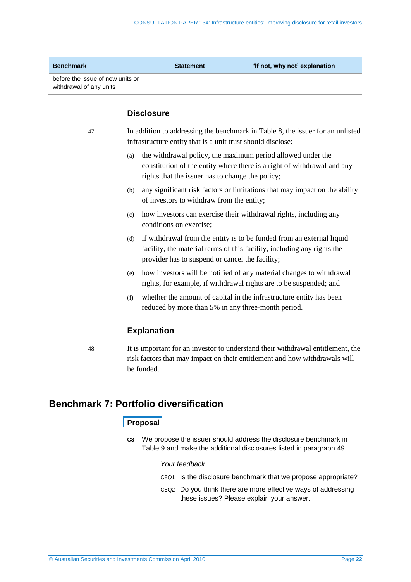| before the issue of new units or | <b>Benchmark</b>        | <b>Statement</b> | 'If not, why not' explanation |
|----------------------------------|-------------------------|------------------|-------------------------------|
|                                  | withdrawal of any units |                  |                               |

### **Disclosure**

<span id="page-21-1"></span>47 In addition to addressing the benchmark in [Table 8,](#page-20-3) the issuer for an unlisted infrastructure entity that is a unit trust should disclose:

- (a) the withdrawal policy, the maximum period allowed under the constitution of the entity where there is a right of withdrawal and any rights that the issuer has to change the policy;
- (b) any significant risk factors or limitations that may impact on the ability of investors to withdraw from the entity;
- (c) how investors can exercise their withdrawal rights, including any conditions on exercise;
- (d) if withdrawal from the entity is to be funded from an external liquid facility, the material terms of this facility, including any rights the provider has to suspend or cancel the facility;
- (e) how investors will be notified of any material changes to withdrawal rights, for example, if withdrawal rights are to be suspended; and
- (f) whether the amount of capital in the infrastructure entity has been reduced by more than 5% in any three-month period.

## **Explanation**

48 It is important for an investor to understand their withdrawal entitlement, the risk factors that may impact on their entitlement and how withdrawals will be funded.

## <span id="page-21-0"></span>**Benchmark 7: Portfolio diversification**

## **Proposal**

**C8** We propose the issuer should address the disclosure benchmark in [Table 9](#page-22-0) and make the additional disclosures listed in paragraph [49.](#page-22-1)

#### *Your feedback*

- C8Q1 Is the disclosure benchmark that we propose appropriate?
- C8Q2 Do you think there are more effective ways of addressing these issues? Please explain your answer.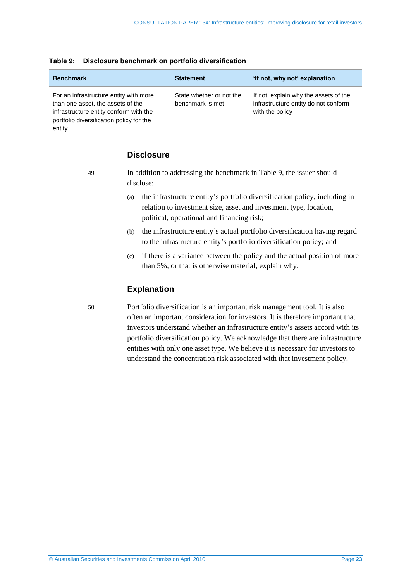| <b>Benchmark</b>                                                                                                                                                            | <b>Statement</b>                             | 'If not, why not' explanation                                                                    |
|-----------------------------------------------------------------------------------------------------------------------------------------------------------------------------|----------------------------------------------|--------------------------------------------------------------------------------------------------|
| For an infrastructure entity with more<br>than one asset, the assets of the<br>infrastructure entity conform with the<br>portfolio diversification policy for the<br>entity | State whether or not the<br>benchmark is met | If not, explain why the assets of the<br>infrastructure entity do not conform<br>with the policy |

#### <span id="page-22-0"></span>**Table 9: Disclosure benchmark on portfolio diversification**

## **Disclosure**

<span id="page-22-1"></span>49 In addition to addressing the benchmark in [Table 9,](#page-22-0) the issuer should disclose:

- (a) the infrastructure entity's portfolio diversification policy, including in relation to investment size, asset and investment type, location, political, operational and financing risk;
- (b) the infrastructure entity's actual portfolio diversification having regard to the infrastructure entity's portfolio diversification policy; and
- (c) if there is a variance between the policy and the actual position of more than 5%, or that is otherwise material, explain why.

## **Explanation**

50 Portfolio diversification is an important risk management tool. It is also often an important consideration for investors. It is therefore important that investors understand whether an infrastructure entity's assets accord with its portfolio diversification policy. We acknowledge that there are infrastructure entities with only one asset type. We believe it is necessary for investors to understand the concentration risk associated with that investment policy.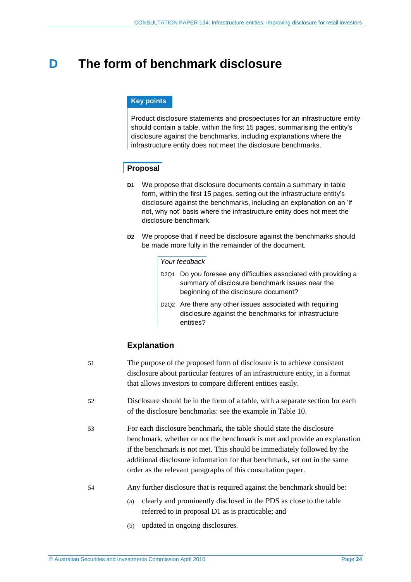## <span id="page-23-0"></span>**D The form of benchmark disclosure**

### **Key points**

Product disclosure statements and prospectuses for an infrastructure entity should contain a table, within the first 15 pages, summarising the entity's disclosure against the benchmarks, including explanations where the infrastructure entity does not meet the disclosure benchmarks.

## <span id="page-23-1"></span>**Proposal**

- **D1** We propose that disclosure documents contain a summary in table form, within the first 15 pages, setting out the infrastructure entity's disclosure against the benchmarks, including an explanation on an 'if not, why not' basis where the infrastructure entity does not meet the disclosure benchmark.
- **D2** We propose that if need be disclosure against the benchmarks should be made more fully in the remainder of the document.

#### *Your feedback*

- D2Q1 Do you foresee any difficulties associated with providing a summary of disclosure benchmark issues near the beginning of the disclosure document?
- D2Q2 Are there any other issues associated with requiring disclosure against the benchmarks for infrastructure entities?

## **Explanation**

| 51 | The purpose of the proposed form of disclosure is to achieve consistent<br>disclosure about particular features of an infrastructure entity, in a format<br>that allows investors to compare different entities easily.                                                                                                                                                   |
|----|---------------------------------------------------------------------------------------------------------------------------------------------------------------------------------------------------------------------------------------------------------------------------------------------------------------------------------------------------------------------------|
| 52 | Disclosure should be in the form of a table, with a separate section for each<br>of the disclosure benchmarks: see the example in Table 10.                                                                                                                                                                                                                               |
| 53 | For each disclosure benchmark, the table should state the disclosure<br>benchmark, whether or not the benchmark is met and provide an explanation<br>if the benchmark is not met. This should be immediately followed by the<br>additional disclosure information for that benchmark, set out in the same<br>order as the relevant paragraphs of this consultation paper. |
| 54 | Any further disclosure that is required against the benchmark should be:<br>clearly and prominently disclosed in the PDS as close to the table<br>(a)<br>referred to in proposal D1 as is practicable; and                                                                                                                                                                |

(b) updated in ongoing disclosures.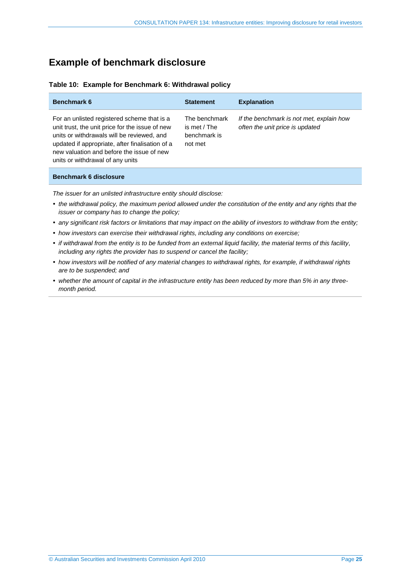## <span id="page-24-1"></span><span id="page-24-0"></span>**Example of benchmark disclosure**

| <b>Benchmark 6</b>                                                                                                                                                                                                                                                               | <b>Statement</b>                                         | <b>Explanation</b>                                                          |
|----------------------------------------------------------------------------------------------------------------------------------------------------------------------------------------------------------------------------------------------------------------------------------|----------------------------------------------------------|-----------------------------------------------------------------------------|
| For an unlisted registered scheme that is a<br>unit trust, the unit price for the issue of new<br>units or withdrawals will be reviewed, and<br>updated if appropriate, after finalisation of a<br>new valuation and before the issue of new<br>units or withdrawal of any units | The benchmark<br>is met / The<br>benchmark is<br>not met | If the benchmark is not met, explain how<br>often the unit price is updated |

#### **Table 10: Example for Benchmark 6: Withdrawal policy**

#### **Benchmark 6 disclosure**

*The issuer for an unlisted infrastructure entity should disclose:*

- *the withdrawal policy, the maximum period allowed under the constitution of the entity and any rights that the issuer or company has to change the policy;*
- *any significant risk factors or limitations that may impact on the ability of investors to withdraw from the entity;*
- *how investors can exercise their withdrawal rights, including any conditions on exercise;*
- *if withdrawal from the entity is to be funded from an external liquid facility, the material terms of this facility, including any rights the provider has to suspend or cancel the facility;*
- *how investors will be notified of any material changes to withdrawal rights, for example, if withdrawal rights are to be suspended; and*
- *whether the amount of capital in the infrastructure entity has been reduced by more than 5% in any threemonth period.*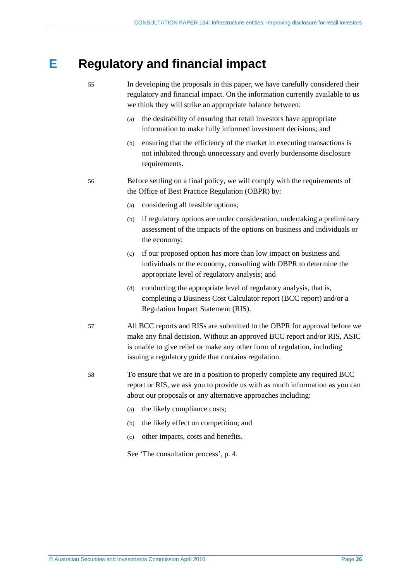## <span id="page-25-0"></span>**E Regulatory and financial impact**

- 55 In developing the proposals in this paper, we have carefully considered their regulatory and financial impact. On the information currently available to us we think they will strike an appropriate balance between:
	- (a) the desirability of ensuring that retail investors have appropriate information to make fully informed investment decisions; and
	- (b) ensuring that the efficiency of the market in executing transactions is not inhibited through unnecessary and overly burdensome disclosure requirements.
- 56 Before settling on a final policy, we will comply with the requirements of the Office of Best Practice Regulation (OBPR) by:
	- (a) considering all feasible options;
	- (b) if regulatory options are under consideration, undertaking a preliminary assessment of the impacts of the options on business and individuals or the economy;
	- (c) if our proposed option has more than low impact on business and individuals or the economy, consulting with OBPR to determine the appropriate level of regulatory analysis; and
	- (d) conducting the appropriate level of regulatory analysis, that is, completing a Business Cost Calculator report (BCC report) and/or a Regulation Impact Statement (RIS).
- 57 All BCC reports and RISs are submitted to the OBPR for approval before we make any final decision. Without an approved BCC report and/or RIS, ASIC is unable to give relief or make any other form of regulation, including issuing a regulatory guide that contains regulation.
- 58 To ensure that we are in a position to properly complete any required BCC report or RIS, we ask you to provide us with as much information as you can about our proposals or any alternative approaches including:
	- (a) the likely compliance costs;
	- (b) the likely effect on competition; and
	- (c) other impacts, costs and benefits.

See 'The consultation process', p. [4.](#page-3-1)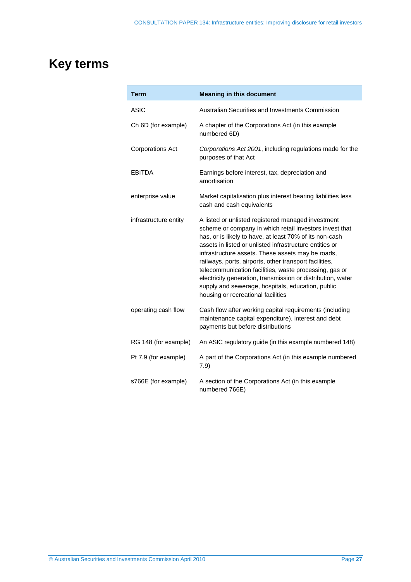# <span id="page-26-0"></span>**Key terms**

| Term                    | <b>Meaning in this document</b>                                                                                                                                                                                                                                                                                                                                                                                                                                                                                                                                        |
|-------------------------|------------------------------------------------------------------------------------------------------------------------------------------------------------------------------------------------------------------------------------------------------------------------------------------------------------------------------------------------------------------------------------------------------------------------------------------------------------------------------------------------------------------------------------------------------------------------|
| ASIC                    | Australian Securities and Investments Commission                                                                                                                                                                                                                                                                                                                                                                                                                                                                                                                       |
| Ch 6D (for example)     | A chapter of the Corporations Act (in this example<br>numbered 6D)                                                                                                                                                                                                                                                                                                                                                                                                                                                                                                     |
| <b>Corporations Act</b> | Corporations Act 2001, including regulations made for the<br>purposes of that Act                                                                                                                                                                                                                                                                                                                                                                                                                                                                                      |
| EBITDA                  | Earnings before interest, tax, depreciation and<br>amortisation                                                                                                                                                                                                                                                                                                                                                                                                                                                                                                        |
| enterprise value        | Market capitalisation plus interest bearing liabilities less<br>cash and cash equivalents                                                                                                                                                                                                                                                                                                                                                                                                                                                                              |
| infrastructure entity   | A listed or unlisted registered managed investment<br>scheme or company in which retail investors invest that<br>has, or is likely to have, at least 70% of its non-cash<br>assets in listed or unlisted infrastructure entities or<br>infrastructure assets. These assets may be roads,<br>railways, ports, airports, other transport facilities,<br>telecommunication facilities, waste processing, gas or<br>electricity generation, transmission or distribution, water<br>supply and sewerage, hospitals, education, public<br>housing or recreational facilities |
| operating cash flow     | Cash flow after working capital requirements (including<br>maintenance capital expenditure), interest and debt<br>payments but before distributions                                                                                                                                                                                                                                                                                                                                                                                                                    |
| RG 148 (for example)    | An ASIC regulatory guide (in this example numbered 148)                                                                                                                                                                                                                                                                                                                                                                                                                                                                                                                |
| Pt 7.9 (for example)    | A part of the Corporations Act (in this example numbered<br>7.9)                                                                                                                                                                                                                                                                                                                                                                                                                                                                                                       |
| s766E (for example)     | A section of the Corporations Act (in this example<br>numbered 766E)                                                                                                                                                                                                                                                                                                                                                                                                                                                                                                   |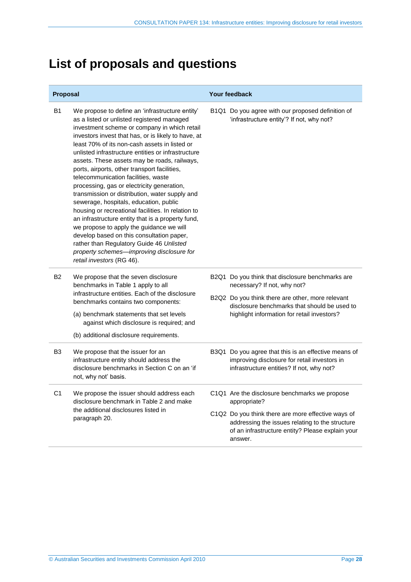# <span id="page-27-0"></span>**List of proposals and questions**

| Proposal       |                                                                                                                                                                                                                                                                                                                                                                                                                                                                                                                                                                                                                                                                                                                                                                                                                                                                                                                        | <b>Your feedback</b>                                                                                                                                                                |  |
|----------------|------------------------------------------------------------------------------------------------------------------------------------------------------------------------------------------------------------------------------------------------------------------------------------------------------------------------------------------------------------------------------------------------------------------------------------------------------------------------------------------------------------------------------------------------------------------------------------------------------------------------------------------------------------------------------------------------------------------------------------------------------------------------------------------------------------------------------------------------------------------------------------------------------------------------|-------------------------------------------------------------------------------------------------------------------------------------------------------------------------------------|--|
| <b>B1</b>      | We propose to define an 'infrastructure entity'<br>as a listed or unlisted registered managed<br>investment scheme or company in which retail<br>investors invest that has, or is likely to have, at<br>least 70% of its non-cash assets in listed or<br>unlisted infrastructure entities or infrastructure<br>assets. These assets may be roads, railways,<br>ports, airports, other transport facilities,<br>telecommunication facilities, waste<br>processing, gas or electricity generation,<br>transmission or distribution, water supply and<br>sewerage, hospitals, education, public<br>housing or recreational facilities. In relation to<br>an infrastructure entity that is a property fund,<br>we propose to apply the guidance we will<br>develop based on this consultation paper,<br>rather than Regulatory Guide 46 Unlisted<br>property schemes-improving disclosure for<br>retail investors (RG 46). | B1Q1 Do you agree with our proposed definition of<br>'infrastructure entity'? If not, why not?                                                                                      |  |
| B2             | We propose that the seven disclosure<br>benchmarks in Table 1 apply to all<br>infrastructure entities. Each of the disclosure<br>benchmarks contains two components:                                                                                                                                                                                                                                                                                                                                                                                                                                                                                                                                                                                                                                                                                                                                                   | B2Q1 Do you think that disclosure benchmarks are<br>necessary? If not, why not?<br>B2Q2 Do you think there are other, more relevant<br>disclosure benchmarks that should be used to |  |
|                | (a) benchmark statements that set levels<br>against which disclosure is required; and                                                                                                                                                                                                                                                                                                                                                                                                                                                                                                                                                                                                                                                                                                                                                                                                                                  | highlight information for retail investors?                                                                                                                                         |  |
|                | (b) additional disclosure requirements.                                                                                                                                                                                                                                                                                                                                                                                                                                                                                                                                                                                                                                                                                                                                                                                                                                                                                |                                                                                                                                                                                     |  |
| B <sub>3</sub> | We propose that the issuer for an<br>infrastructure entity should address the<br>disclosure benchmarks in Section C on an 'if<br>not, why not' basis.                                                                                                                                                                                                                                                                                                                                                                                                                                                                                                                                                                                                                                                                                                                                                                  | B3Q1 Do you agree that this is an effective means of<br>improving disclosure for retail investors in<br>infrastructure entities? If not, why not?                                   |  |
| C <sub>1</sub> | We propose the issuer should address each<br>disclosure benchmark in Table 2 and make<br>the additional disclosures listed in<br>paragraph 20.                                                                                                                                                                                                                                                                                                                                                                                                                                                                                                                                                                                                                                                                                                                                                                         | C1Q1 Are the disclosure benchmarks we propose<br>appropriate?<br>C1Q2 Do you think there are more effective ways of<br>addressing the issues relating to the structure              |  |
|                |                                                                                                                                                                                                                                                                                                                                                                                                                                                                                                                                                                                                                                                                                                                                                                                                                                                                                                                        | of an infrastructure entity? Please explain your<br>answer.                                                                                                                         |  |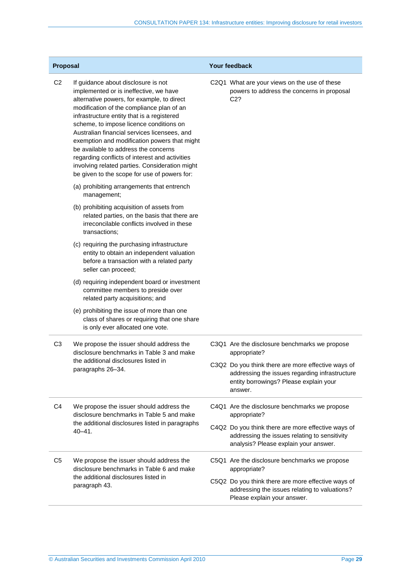| Proposal       |                                                                                                                                                                                                                                                                                                                                                                                                                                                                                                                                                                                                             | Your feedback                                                                                                                                             |  |
|----------------|-------------------------------------------------------------------------------------------------------------------------------------------------------------------------------------------------------------------------------------------------------------------------------------------------------------------------------------------------------------------------------------------------------------------------------------------------------------------------------------------------------------------------------------------------------------------------------------------------------------|-----------------------------------------------------------------------------------------------------------------------------------------------------------|--|
| C <sub>2</sub> | If guidance about disclosure is not<br>implemented or is ineffective, we have<br>alternative powers, for example, to direct<br>modification of the compliance plan of an<br>infrastructure entity that is a registered<br>scheme, to impose licence conditions on<br>Australian financial services licensees, and<br>exemption and modification powers that might<br>be available to address the concerns<br>regarding conflicts of interest and activities<br>involving related parties. Consideration might<br>be given to the scope for use of powers for:<br>(a) prohibiting arrangements that entrench | C2Q1 What are your views on the use of these<br>powers to address the concerns in proposal<br>C <sub>2</sub> ?                                            |  |
|                | management;<br>(b) prohibiting acquisition of assets from<br>related parties, on the basis that there are<br>irreconcilable conflicts involved in these                                                                                                                                                                                                                                                                                                                                                                                                                                                     |                                                                                                                                                           |  |
|                | transactions;<br>(c) requiring the purchasing infrastructure<br>entity to obtain an independent valuation<br>before a transaction with a related party<br>seller can proceed;                                                                                                                                                                                                                                                                                                                                                                                                                               |                                                                                                                                                           |  |
|                | (d) requiring independent board or investment<br>committee members to preside over<br>related party acquisitions; and                                                                                                                                                                                                                                                                                                                                                                                                                                                                                       |                                                                                                                                                           |  |
|                | (e) prohibiting the issue of more than one<br>class of shares or requiring that one share<br>is only ever allocated one vote.                                                                                                                                                                                                                                                                                                                                                                                                                                                                               |                                                                                                                                                           |  |
| C <sub>3</sub> | We propose the issuer should address the<br>disclosure benchmarks in Table 3 and make<br>the additional disclosures listed in<br>paragraphs 26-34.                                                                                                                                                                                                                                                                                                                                                                                                                                                          | C3Q1 Are the disclosure benchmarks we propose<br>appropriate?                                                                                             |  |
|                |                                                                                                                                                                                                                                                                                                                                                                                                                                                                                                                                                                                                             | C3Q2 Do you think there are more effective ways of<br>addressing the issues regarding infrastructure<br>entity borrowings? Please explain your<br>answer. |  |
| C <sub>4</sub> | We propose the issuer should address the<br>disclosure benchmarks in Table 5 and make<br>the additional disclosures listed in paragraphs<br>$40 - 41$ .                                                                                                                                                                                                                                                                                                                                                                                                                                                     | C4Q1 Are the disclosure benchmarks we propose<br>appropriate?                                                                                             |  |
|                |                                                                                                                                                                                                                                                                                                                                                                                                                                                                                                                                                                                                             | C4Q2 Do you think there are more effective ways of<br>addressing the issues relating to sensitivity<br>analysis? Please explain your answer.              |  |
| C <sub>5</sub> | We propose the issuer should address the<br>disclosure benchmarks in Table 6 and make<br>the additional disclosures listed in<br>paragraph 43.                                                                                                                                                                                                                                                                                                                                                                                                                                                              | C5Q1 Are the disclosure benchmarks we propose<br>appropriate?                                                                                             |  |
|                |                                                                                                                                                                                                                                                                                                                                                                                                                                                                                                                                                                                                             | C5Q2 Do you think there are more effective ways of<br>addressing the issues relating to valuations?<br>Please explain your answer.                        |  |